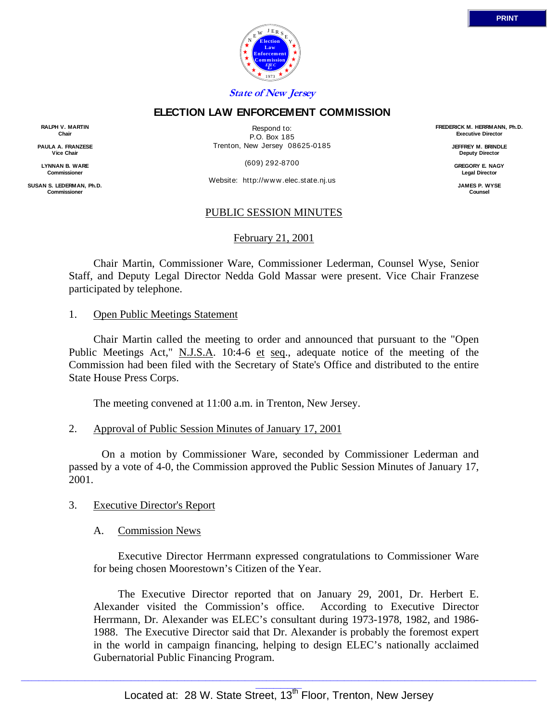



# **ELECTION LAW ENFORCEMENT COMMISSION**

**RALPH V. MARTIN Chair**

**PAULA A. FRANZESE Vice Chair**

**LYNNAN B. WARE Commission** 

**SUSAN S. LEDERMAN, Ph.D. Commission** 

Respond to: P.O. Box 185 Trenton, New Jersey 08625-0185

(609) 292-8700

Website: http://w w w .elec.state.nj.us

### PUBLIC SESSION MINUTES

February 21, 2001

 Chair Martin, Commissioner Ware, Commissioner Lederman, Counsel Wyse, Senior Staff, and Deputy Legal Director Nedda Gold Massar were present. Vice Chair Franzese participated by telephone.

### 1. Open Public Meetings Statement

 Chair Martin called the meeting to order and announced that pursuant to the "Open Public Meetings Act," N.J.S.A. 10:4-6 et seq., adequate notice of the meeting of the Commission had been filed with the Secretary of State's Office and distributed to the entire State House Press Corps.

The meeting convened at 11:00 a.m. in Trenton, New Jersey.

## 2. Approval of Public Session Minutes of January 17, 2001

 On a motion by Commissioner Ware, seconded by Commissioner Lederman and passed by a vote of 4-0, the Commission approved the Public Session Minutes of January 17, 2001.

## 3. Executive Director's Report

## A. Commission News

Executive Director Herrmann expressed congratulations to Commissioner Ware for being chosen Moorestown's Citizen of the Year.

The Executive Director reported that on January 29, 2001, Dr. Herbert E. Alexander visited the Commission's office. According to Executive Director Herrmann, Dr. Alexander was ELEC's consultant during 1973-1978, 1982, and 1986- 1988. The Executive Director said that Dr. Alexander is probably the foremost expert in the world in campaign financing, helping to design ELEC's nationally acclaimed Gubernatorial Public Financing Program.

**FREDERICK M. HERRMANN, Ph.D. Executive Director**

> **JEFFREY M. BRINDLE Deputy Director**

**GREGORY E. NAGY Legal Director**

**JAMES P. WYSE Counsel**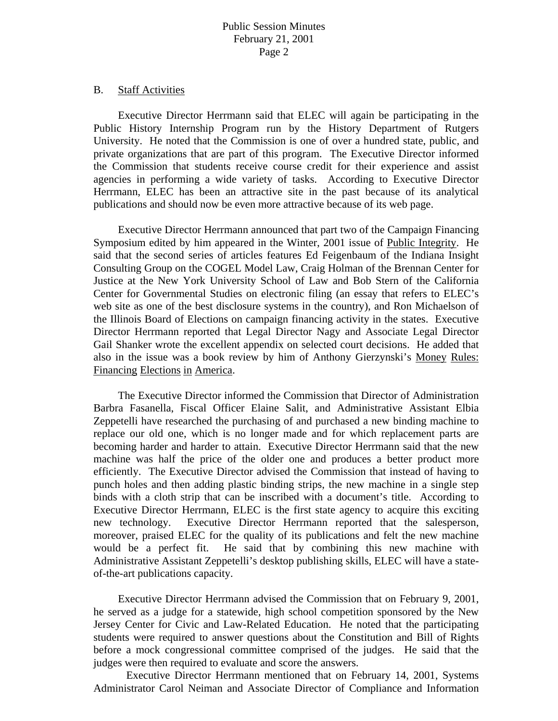### B. Staff Activities

Executive Director Herrmann said that ELEC will again be participating in the Public History Internship Program run by the History Department of Rutgers University. He noted that the Commission is one of over a hundred state, public, and private organizations that are part of this program. The Executive Director informed the Commission that students receive course credit for their experience and assist agencies in performing a wide variety of tasks. According to Executive Director Herrmann, ELEC has been an attractive site in the past because of its analytical publications and should now be even more attractive because of its web page.

Executive Director Herrmann announced that part two of the Campaign Financing Symposium edited by him appeared in the Winter, 2001 issue of Public Integrity. He said that the second series of articles features Ed Feigenbaum of the Indiana Insight Consulting Group on the COGEL Model Law, Craig Holman of the Brennan Center for Justice at the New York University School of Law and Bob Stern of the California Center for Governmental Studies on electronic filing (an essay that refers to ELEC's web site as one of the best disclosure systems in the country), and Ron Michaelson of the Illinois Board of Elections on campaign financing activity in the states. Executive Director Herrmann reported that Legal Director Nagy and Associate Legal Director Gail Shanker wrote the excellent appendix on selected court decisions. He added that also in the issue was a book review by him of Anthony Gierzynski's Money Rules: Financing Elections in America.

The Executive Director informed the Commission that Director of Administration Barbra Fasanella, Fiscal Officer Elaine Salit, and Administrative Assistant Elbia Zeppetelli have researched the purchasing of and purchased a new binding machine to replace our old one, which is no longer made and for which replacement parts are becoming harder and harder to attain. Executive Director Herrmann said that the new machine was half the price of the older one and produces a better product more efficiently. The Executive Director advised the Commission that instead of having to punch holes and then adding plastic binding strips, the new machine in a single step binds with a cloth strip that can be inscribed with a document's title. According to Executive Director Herrmann, ELEC is the first state agency to acquire this exciting new technology. Executive Director Herrmann reported that the salesperson, moreover, praised ELEC for the quality of its publications and felt the new machine would be a perfect fit. He said that by combining this new machine with Administrative Assistant Zeppetelli's desktop publishing skills, ELEC will have a stateof-the-art publications capacity.

Executive Director Herrmann advised the Commission that on February 9, 2001, he served as a judge for a statewide, high school competition sponsored by the New Jersey Center for Civic and Law-Related Education. He noted that the participating students were required to answer questions about the Constitution and Bill of Rights before a mock congressional committee comprised of the judges. He said that the judges were then required to evaluate and score the answers.

 Executive Director Herrmann mentioned that on February 14, 2001, Systems Administrator Carol Neiman and Associate Director of Compliance and Information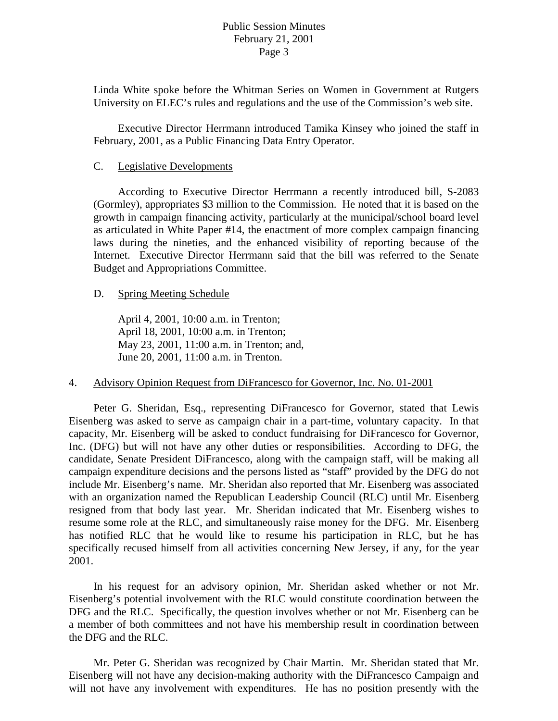Linda White spoke before the Whitman Series on Women in Government at Rutgers University on ELEC's rules and regulations and the use of the Commission's web site.

Executive Director Herrmann introduced Tamika Kinsey who joined the staff in February, 2001, as a Public Financing Data Entry Operator.

### C. Legislative Developments

 According to Executive Director Herrmann a recently introduced bill, S-2083 (Gormley), appropriates \$3 million to the Commission. He noted that it is based on the growth in campaign financing activity, particularly at the municipal/school board level as articulated in White Paper #14, the enactment of more complex campaign financing laws during the nineties, and the enhanced visibility of reporting because of the Internet. Executive Director Herrmann said that the bill was referred to the Senate Budget and Appropriations Committee.

#### D. Spring Meeting Schedule

April 4, 2001, 10:00 a.m. in Trenton; April 18, 2001, 10:00 a.m. in Trenton; May 23, 2001, 11:00 a.m. in Trenton; and, June 20, 2001, 11:00 a.m. in Trenton.

### 4. Advisory Opinion Request from DiFrancesco for Governor, Inc. No. 01-2001

 Peter G. Sheridan, Esq., representing DiFrancesco for Governor, stated that Lewis Eisenberg was asked to serve as campaign chair in a part-time, voluntary capacity. In that capacity, Mr. Eisenberg will be asked to conduct fundraising for DiFrancesco for Governor, Inc. (DFG) but will not have any other duties or responsibilities. According to DFG, the candidate, Senate President DiFrancesco, along with the campaign staff, will be making all campaign expenditure decisions and the persons listed as "staff" provided by the DFG do not include Mr. Eisenberg's name. Mr. Sheridan also reported that Mr. Eisenberg was associated with an organization named the Republican Leadership Council (RLC) until Mr. Eisenberg resigned from that body last year. Mr. Sheridan indicated that Mr. Eisenberg wishes to resume some role at the RLC, and simultaneously raise money for the DFG. Mr. Eisenberg has notified RLC that he would like to resume his participation in RLC, but he has specifically recused himself from all activities concerning New Jersey, if any, for the year 2001.

 In his request for an advisory opinion, Mr. Sheridan asked whether or not Mr. Eisenberg's potential involvement with the RLC would constitute coordination between the DFG and the RLC. Specifically, the question involves whether or not Mr. Eisenberg can be a member of both committees and not have his membership result in coordination between the DFG and the RLC.

 Mr. Peter G. Sheridan was recognized by Chair Martin. Mr. Sheridan stated that Mr. Eisenberg will not have any decision-making authority with the DiFrancesco Campaign and will not have any involvement with expenditures. He has no position presently with the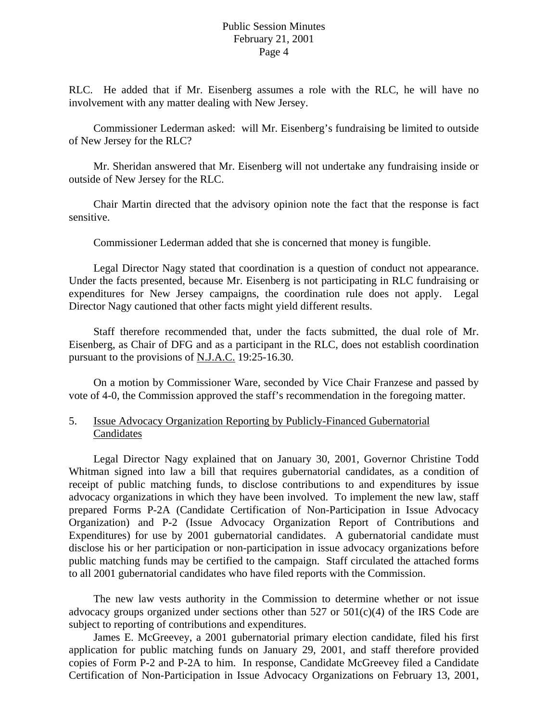RLC. He added that if Mr. Eisenberg assumes a role with the RLC, he will have no involvement with any matter dealing with New Jersey.

 Commissioner Lederman asked: will Mr. Eisenberg's fundraising be limited to outside of New Jersey for the RLC?

 Mr. Sheridan answered that Mr. Eisenberg will not undertake any fundraising inside or outside of New Jersey for the RLC.

 Chair Martin directed that the advisory opinion note the fact that the response is fact sensitive.

Commissioner Lederman added that she is concerned that money is fungible.

 Legal Director Nagy stated that coordination is a question of conduct not appearance. Under the facts presented, because Mr. Eisenberg is not participating in RLC fundraising or expenditures for New Jersey campaigns, the coordination rule does not apply. Legal Director Nagy cautioned that other facts might yield different results.

 Staff therefore recommended that, under the facts submitted, the dual role of Mr. Eisenberg, as Chair of DFG and as a participant in the RLC, does not establish coordination pursuant to the provisions of N.J.A.C. 19:25-16.30.

 On a motion by Commissioner Ware, seconded by Vice Chair Franzese and passed by vote of 4-0, the Commission approved the staff's recommendation in the foregoing matter.

## 5. Issue Advocacy Organization Reporting by Publicly-Financed Gubernatorial Candidates

Legal Director Nagy explained that on January 30, 2001, Governor Christine Todd Whitman signed into law a bill that requires gubernatorial candidates, as a condition of receipt of public matching funds, to disclose contributions to and expenditures by issue advocacy organizations in which they have been involved. To implement the new law, staff prepared Forms P-2A (Candidate Certification of Non-Participation in Issue Advocacy Organization) and P-2 (Issue Advocacy Organization Report of Contributions and Expenditures) for use by 2001 gubernatorial candidates. A gubernatorial candidate must disclose his or her participation or non-participation in issue advocacy organizations before public matching funds may be certified to the campaign. Staff circulated the attached forms to all 2001 gubernatorial candidates who have filed reports with the Commission.

The new law vests authority in the Commission to determine whether or not issue advocacy groups organized under sections other than  $527$  or  $501(c)(4)$  of the IRS Code are subject to reporting of contributions and expenditures.

James E. McGreevey, a 2001 gubernatorial primary election candidate, filed his first application for public matching funds on January 29, 2001, and staff therefore provided copies of Form P-2 and P-2A to him. In response, Candidate McGreevey filed a Candidate Certification of Non-Participation in Issue Advocacy Organizations on February 13, 2001,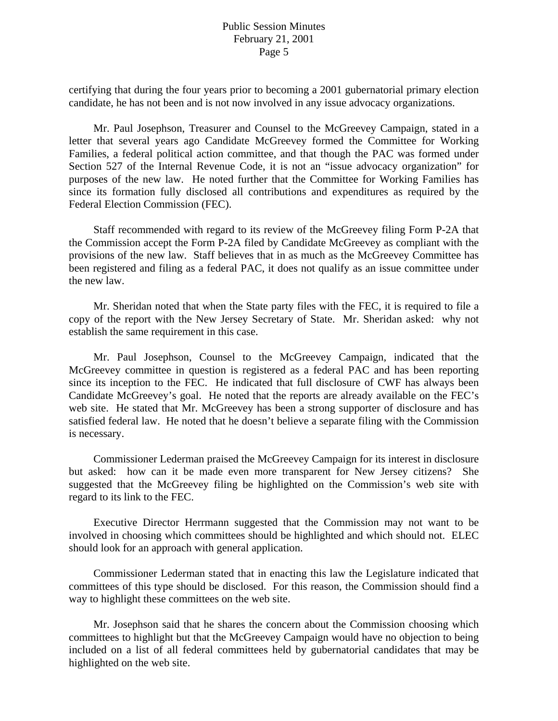certifying that during the four years prior to becoming a 2001 gubernatorial primary election candidate, he has not been and is not now involved in any issue advocacy organizations.

Mr. Paul Josephson, Treasurer and Counsel to the McGreevey Campaign, stated in a letter that several years ago Candidate McGreevey formed the Committee for Working Families, a federal political action committee, and that though the PAC was formed under Section 527 of the Internal Revenue Code, it is not an "issue advocacy organization" for purposes of the new law. He noted further that the Committee for Working Families has since its formation fully disclosed all contributions and expenditures as required by the Federal Election Commission (FEC).

Staff recommended with regard to its review of the McGreevey filing Form P-2A that the Commission accept the Form P-2A filed by Candidate McGreevey as compliant with the provisions of the new law. Staff believes that in as much as the McGreevey Committee has been registered and filing as a federal PAC, it does not qualify as an issue committee under the new law.

 Mr. Sheridan noted that when the State party files with the FEC, it is required to file a copy of the report with the New Jersey Secretary of State. Mr. Sheridan asked: why not establish the same requirement in this case.

 Mr. Paul Josephson, Counsel to the McGreevey Campaign, indicated that the McGreevey committee in question is registered as a federal PAC and has been reporting since its inception to the FEC. He indicated that full disclosure of CWF has always been Candidate McGreevey's goal. He noted that the reports are already available on the FEC's web site. He stated that Mr. McGreevey has been a strong supporter of disclosure and has satisfied federal law. He noted that he doesn't believe a separate filing with the Commission is necessary.

 Commissioner Lederman praised the McGreevey Campaign for its interest in disclosure but asked: how can it be made even more transparent for New Jersey citizens? She suggested that the McGreevey filing be highlighted on the Commission's web site with regard to its link to the FEC.

 Executive Director Herrmann suggested that the Commission may not want to be involved in choosing which committees should be highlighted and which should not. ELEC should look for an approach with general application.

 Commissioner Lederman stated that in enacting this law the Legislature indicated that committees of this type should be disclosed. For this reason, the Commission should find a way to highlight these committees on the web site.

 Mr. Josephson said that he shares the concern about the Commission choosing which committees to highlight but that the McGreevey Campaign would have no objection to being included on a list of all federal committees held by gubernatorial candidates that may be highlighted on the web site.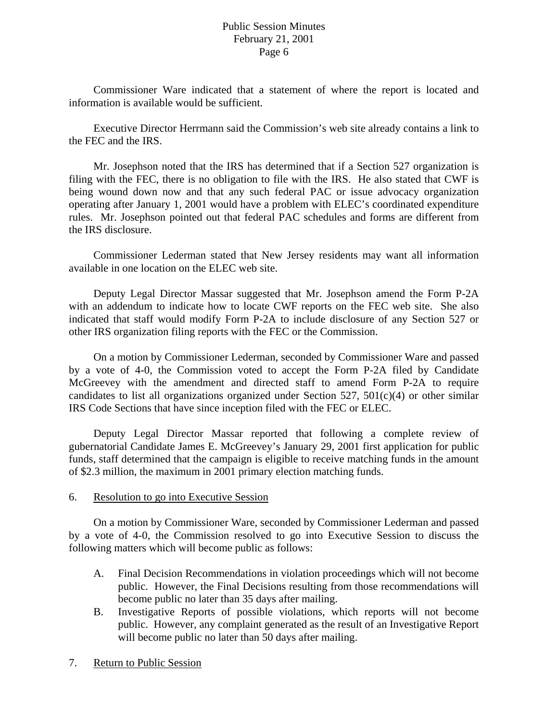Commissioner Ware indicated that a statement of where the report is located and information is available would be sufficient.

 Executive Director Herrmann said the Commission's web site already contains a link to the FEC and the IRS.

 Mr. Josephson noted that the IRS has determined that if a Section 527 organization is filing with the FEC, there is no obligation to file with the IRS. He also stated that CWF is being wound down now and that any such federal PAC or issue advocacy organization operating after January 1, 2001 would have a problem with ELEC's coordinated expenditure rules. Mr. Josephson pointed out that federal PAC schedules and forms are different from the IRS disclosure.

 Commissioner Lederman stated that New Jersey residents may want all information available in one location on the ELEC web site.

 Deputy Legal Director Massar suggested that Mr. Josephson amend the Form P-2A with an addendum to indicate how to locate CWF reports on the FEC web site. She also indicated that staff would modify Form P-2A to include disclosure of any Section 527 or other IRS organization filing reports with the FEC or the Commission.

 On a motion by Commissioner Lederman, seconded by Commissioner Ware and passed by a vote of 4-0, the Commission voted to accept the Form P-2A filed by Candidate McGreevey with the amendment and directed staff to amend Form P-2A to require candidates to list all organizations organized under Section 527,  $501(c)(4)$  or other similar IRS Code Sections that have since inception filed with the FEC or ELEC.

 Deputy Legal Director Massar reported that following a complete review of gubernatorial Candidate James E. McGreevey's January 29, 2001 first application for public funds, staff determined that the campaign is eligible to receive matching funds in the amount of \$2.3 million, the maximum in 2001 primary election matching funds.

## 6. Resolution to go into Executive Session

 On a motion by Commissioner Ware, seconded by Commissioner Lederman and passed by a vote of 4-0, the Commission resolved to go into Executive Session to discuss the following matters which will become public as follows:

- A. Final Decision Recommendations in violation proceedings which will not become public. However, the Final Decisions resulting from those recommendations will become public no later than 35 days after mailing.
- B. Investigative Reports of possible violations, which reports will not become public. However, any complaint generated as the result of an Investigative Report will become public no later than 50 days after mailing.
- 7. Return to Public Session